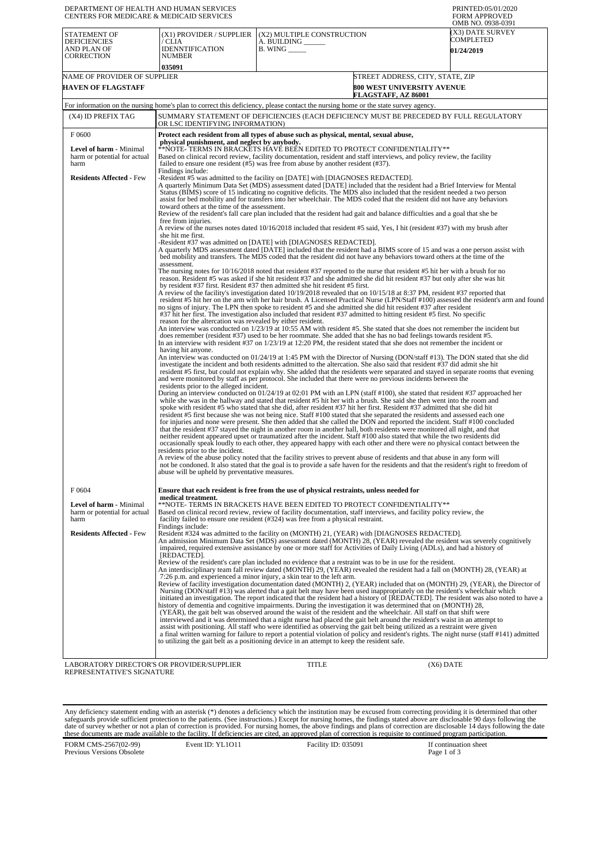| DEPARTMENT OF HEALTH AND HUMAN SERVICES<br>CENTERS FOR MEDICARE & MEDICAID SERVICES                         |                                                                                                                                                                                                                                                                                                                                                                                                                                                                                                                                                                                                                                                                                                                                                                                                                                                                                                                                                                                                                                                                                                                                                                                                                                                                                                                                                                                                                                                                           |                                                                                                                                                                                                                                                                                                                                                                                                                                                                                                                                                                                                                                                                                                                                                                                                                                                                                                                                                                                                                                          | PRINTED:05/01/2020<br><b>FORM APPROVED</b><br>OMB NO. 0938-0391                                                                                                                                                                                                    |  |  |
|-------------------------------------------------------------------------------------------------------------|---------------------------------------------------------------------------------------------------------------------------------------------------------------------------------------------------------------------------------------------------------------------------------------------------------------------------------------------------------------------------------------------------------------------------------------------------------------------------------------------------------------------------------------------------------------------------------------------------------------------------------------------------------------------------------------------------------------------------------------------------------------------------------------------------------------------------------------------------------------------------------------------------------------------------------------------------------------------------------------------------------------------------------------------------------------------------------------------------------------------------------------------------------------------------------------------------------------------------------------------------------------------------------------------------------------------------------------------------------------------------------------------------------------------------------------------------------------------------|------------------------------------------------------------------------------------------------------------------------------------------------------------------------------------------------------------------------------------------------------------------------------------------------------------------------------------------------------------------------------------------------------------------------------------------------------------------------------------------------------------------------------------------------------------------------------------------------------------------------------------------------------------------------------------------------------------------------------------------------------------------------------------------------------------------------------------------------------------------------------------------------------------------------------------------------------------------------------------------------------------------------------------------|--------------------------------------------------------------------------------------------------------------------------------------------------------------------------------------------------------------------------------------------------------------------|--|--|
| <b>STATEMENT OF</b><br><b>DEFICIENCIES</b><br>AND PLAN OF<br>CORRECTION                                     | (X1) PROVIDER / SUPPLIER<br>/ CLIA<br><b>IDENNTIFICATION</b><br><b>NUMBER</b>                                                                                                                                                                                                                                                                                                                                                                                                                                                                                                                                                                                                                                                                                                                                                                                                                                                                                                                                                                                                                                                                                                                                                                                                                                                                                                                                                                                             | (X2) MULTIPLE CONSTRUCTION<br>A. BUILDING ______<br>$B.$ WING $\_\_\_\_\_\_\$                                                                                                                                                                                                                                                                                                                                                                                                                                                                                                                                                                                                                                                                                                                                                                                                                                                                                                                                                            | (X3) DATE SURVEY<br>COMPLETED<br><b>01/24/2019</b>                                                                                                                                                                                                                 |  |  |
| NAME OF PROVIDER OF SUPPLIER<br><b>HAVEN OF FLAGSTAFF</b>                                                   | 035091                                                                                                                                                                                                                                                                                                                                                                                                                                                                                                                                                                                                                                                                                                                                                                                                                                                                                                                                                                                                                                                                                                                                                                                                                                                                                                                                                                                                                                                                    |                                                                                                                                                                                                                                                                                                                                                                                                                                                                                                                                                                                                                                                                                                                                                                                                                                                                                                                                                                                                                                          | STREET ADDRESS, CITY, STATE, ZIP<br>800 WEST UNIVERSITY AVENUE<br>FLAGSTAFF, AZ 86001                                                                                                                                                                              |  |  |
|                                                                                                             |                                                                                                                                                                                                                                                                                                                                                                                                                                                                                                                                                                                                                                                                                                                                                                                                                                                                                                                                                                                                                                                                                                                                                                                                                                                                                                                                                                                                                                                                           | For information on the nursing home's plan to correct this deficiency, please contact the nursing home or the state survey agency.                                                                                                                                                                                                                                                                                                                                                                                                                                                                                                                                                                                                                                                                                                                                                                                                                                                                                                       |                                                                                                                                                                                                                                                                    |  |  |
| (X4) ID PREFIX TAG                                                                                          | OR LSC IDENTIFYING INFORMATION)                                                                                                                                                                                                                                                                                                                                                                                                                                                                                                                                                                                                                                                                                                                                                                                                                                                                                                                                                                                                                                                                                                                                                                                                                                                                                                                                                                                                                                           | SUMMARY STATEMENT OF DEFICIENCIES (EACH DEFICIENCY MUST BE PRECEDED BY FULL REGULATORY                                                                                                                                                                                                                                                                                                                                                                                                                                                                                                                                                                                                                                                                                                                                                                                                                                                                                                                                                   |                                                                                                                                                                                                                                                                    |  |  |
| F0600<br>Level of harm - Minimal<br>harm or potential for actual<br>harm<br><b>Residents Affected - Few</b> | Protect each resident from all types of abuse such as physical, mental, sexual abuse,<br>physical punishment, and neglect by anybody.<br>**NOTE-TERMS IN BRACKETS HAVE BEEN EDITED TO PROTECT CONFIDENTIALITY**<br>Based on clinical record review, facility documentation, resident and staff interviews, and policy review, the facility<br>failed to ensure one resident $(\#5)$ was free from abuse by another resident $(\#37)$ .<br>Findings include:<br>-Resident #5 was admitted to the facility on [DATE] with [DIAGNOSES REDACTED].                                                                                                                                                                                                                                                                                                                                                                                                                                                                                                                                                                                                                                                                                                                                                                                                                                                                                                                             |                                                                                                                                                                                                                                                                                                                                                                                                                                                                                                                                                                                                                                                                                                                                                                                                                                                                                                                                                                                                                                          |                                                                                                                                                                                                                                                                    |  |  |
|                                                                                                             | A quarterly Minimum Data Set (MDS) assessment dated [DATE] included that the resident had a Brief Interview for Mental<br>Status (BIMS) score of 15 indicating no cognitive deficits. The MDS also included that the resident needed a two person<br>assist for bed mobility and for transfers into her wheelchair. The MDS coded that the resident did not have any behaviors<br>toward others at the time of the assessment.<br>Review of the resident's fall care plan included that the resident had gait and balance difficulties and a goal that she be<br>free from injuries.<br>A review of the nurses notes dated 10/16/2018 included that resident #5 said, Yes, I hit (resident #37) with my brush after<br>she hit me first.                                                                                                                                                                                                                                                                                                                                                                                                                                                                                                                                                                                                                                                                                                                                  |                                                                                                                                                                                                                                                                                                                                                                                                                                                                                                                                                                                                                                                                                                                                                                                                                                                                                                                                                                                                                                          |                                                                                                                                                                                                                                                                    |  |  |
|                                                                                                             | -Resident #37 was admitted on [DATE] with [DIAGNOSES REDACTED].<br>A quarterly MDS assessment dated [DATE] included that the resident had a BIMS score of 15 and was a one person assist with<br>bed mobility and transfers. The MDS coded that the resident did not have any behaviors toward others at the time of the<br>assessment.                                                                                                                                                                                                                                                                                                                                                                                                                                                                                                                                                                                                                                                                                                                                                                                                                                                                                                                                                                                                                                                                                                                                   |                                                                                                                                                                                                                                                                                                                                                                                                                                                                                                                                                                                                                                                                                                                                                                                                                                                                                                                                                                                                                                          |                                                                                                                                                                                                                                                                    |  |  |
|                                                                                                             | The nursing notes for 10/16/2018 noted that resident #37 reported to the nurse that resident #5 hit her with a brush for no<br>reason. Resident #5 was asked if she hit resident #37 and she admitted she did hit resident #37 but only after she was hit<br>by resident #37 first. Resident #37 then admitted she hit resident #5 first.<br>A review of the facility's investigation dated 10/19/2018 revealed that on 10/15/18 at 8:37 PM, resident #37 reported that<br>resident #5 hit her on the arm with her hair brush. A Licensed Practical Nurse (LPN/Staff #100) assessed the resident's arm and found<br>no signs of injury. The LPN then spoke to resident #5 and she admitted she did hit resident #37 after resident<br>#37 hit her first. The investigation also included that resident #37 admitted to hitting resident #5 first. No specific                                                                                                                                                                                                                                                                                                                                                                                                                                                                                                                                                                                                             |                                                                                                                                                                                                                                                                                                                                                                                                                                                                                                                                                                                                                                                                                                                                                                                                                                                                                                                                                                                                                                          |                                                                                                                                                                                                                                                                    |  |  |
|                                                                                                             | reason for the altercation was revealed by either resident.<br>An interview was conducted on $1/23/19$ at 10:55 AM with resident #5. She stated that she does not remember the incident but<br>does remember (resident #37) used to be her roommate. She added that she has no bad feelings towards resident #5.<br>In an interview with resident #37 on $1/23/19$ at $12:20$ PM, the resident stated that she does not remember the incident or                                                                                                                                                                                                                                                                                                                                                                                                                                                                                                                                                                                                                                                                                                                                                                                                                                                                                                                                                                                                                          |                                                                                                                                                                                                                                                                                                                                                                                                                                                                                                                                                                                                                                                                                                                                                                                                                                                                                                                                                                                                                                          |                                                                                                                                                                                                                                                                    |  |  |
|                                                                                                             | having hit anyone.                                                                                                                                                                                                                                                                                                                                                                                                                                                                                                                                                                                                                                                                                                                                                                                                                                                                                                                                                                                                                                                                                                                                                                                                                                                                                                                                                                                                                                                        | investigate the incident and both residents admitted to the altercation. She also said that resident #37 did admit she hit<br>and were monitored by staff as per protocol. She included that there were no previous incidents between the                                                                                                                                                                                                                                                                                                                                                                                                                                                                                                                                                                                                                                                                                                                                                                                                | An interview was conducted on 01/24/19 at 1:45 PM with the Director of Nursing (DON/staff #13). The DON stated that she did<br>resident #5 first, but could not explain why. She added that the residents were separated and stayed in separate rooms that evening |  |  |
|                                                                                                             | residents prior to the alleged incident.<br>residents prior to the incident.                                                                                                                                                                                                                                                                                                                                                                                                                                                                                                                                                                                                                                                                                                                                                                                                                                                                                                                                                                                                                                                                                                                                                                                                                                                                                                                                                                                              | During an interview conducted on 01/24/19 at 02:01 PM with an LPN (staff #100), she stated that resident #37 approached her<br>while she was in the hallway and stated that resident #5 hit her with a brush. She said she then went into the room and<br>spoke with resident #5 who stated that she did, after resident #37 hit her first. Resident #37 admitted that she did hit<br>resident #5 first because she was not being nice. Staff #100 stated that she separated the residents and assessed each one<br>for injuries and none were present. She then added that she called the DON and reported the incident. Staff #100 concluded<br>that the resident #37 stayed the night in another room in another hall, both residents were monitored all night, and that<br>neither resident appeared upset or traumatized after the incident. Staff #100 also stated that while the two residents did<br>occasionally speak loudly to each other, they appeared happy with each other and there were no physical contact between the |                                                                                                                                                                                                                                                                    |  |  |
|                                                                                                             | abuse will be upheld by preventative measures.                                                                                                                                                                                                                                                                                                                                                                                                                                                                                                                                                                                                                                                                                                                                                                                                                                                                                                                                                                                                                                                                                                                                                                                                                                                                                                                                                                                                                            | A review of the abuse policy noted that the facility strives to prevent abuse of residents and that abuse in any form will                                                                                                                                                                                                                                                                                                                                                                                                                                                                                                                                                                                                                                                                                                                                                                                                                                                                                                               | not be condoned. It also stated that the goal is to provide a safe haven for the residents and that the resident's right to freedom of                                                                                                                             |  |  |
| F 0604                                                                                                      |                                                                                                                                                                                                                                                                                                                                                                                                                                                                                                                                                                                                                                                                                                                                                                                                                                                                                                                                                                                                                                                                                                                                                                                                                                                                                                                                                                                                                                                                           | Ensure that each resident is free from the use of physical restraints, unless needed for                                                                                                                                                                                                                                                                                                                                                                                                                                                                                                                                                                                                                                                                                                                                                                                                                                                                                                                                                 |                                                                                                                                                                                                                                                                    |  |  |
| Level of harm - Minimal<br>harm or potential for actual<br>harm                                             | medical treatment.                                                                                                                                                                                                                                                                                                                                                                                                                                                                                                                                                                                                                                                                                                                                                                                                                                                                                                                                                                                                                                                                                                                                                                                                                                                                                                                                                                                                                                                        | **NOTE- TERMS IN BRACKETS HAVE BEEN EDITED TO PROTECT CONFIDENTIALITY**<br>Based on clinical record review, review of facility documentation, staff interviews, and facility policy review, the<br>facility failed to ensure one resident $(\#324)$ was free from a physical restraint.                                                                                                                                                                                                                                                                                                                                                                                                                                                                                                                                                                                                                                                                                                                                                  |                                                                                                                                                                                                                                                                    |  |  |
| <b>Residents Affected - Few</b>                                                                             | Findings include:<br>[REDACTED].                                                                                                                                                                                                                                                                                                                                                                                                                                                                                                                                                                                                                                                                                                                                                                                                                                                                                                                                                                                                                                                                                                                                                                                                                                                                                                                                                                                                                                          | Resident #324 was admitted to the facility on (MONTH) 21, (YEAR) with [DIAGNOSES REDACTED].<br>impaired, required extensive assistance by one or more staff for Activities of Daily Living (ADLs), and had a history of                                                                                                                                                                                                                                                                                                                                                                                                                                                                                                                                                                                                                                                                                                                                                                                                                  | An admission Minimum Data Set (MDS) assessment dated (MONTH) 28, (YEAR) revealed the resident was severely cognitively                                                                                                                                             |  |  |
|                                                                                                             | Review of the resident's care plan included no evidence that a restraint was to be in use for the resident.<br>An interdisciplinary team fall review dated (MONTH) 29, (YEAR) revealed the resident had a fall on (MONTH) 28, (YEAR) at<br>7:26 p.m. and experienced a minor injury, a skin tear to the left arm.<br>Review of facility investigation documentation dated (MONTH) 2, (YEAR) included that on (MONTH) 29, (YEAR), the Director of<br>Nursing (DON/staff #13) was alerted that a gait belt may have been used inappropriately on the resident's wheelchair which<br>initiated an investigation. The report indicated that the resident had a history of [REDACTED]. The resident was also noted to have a<br>history of dementia and cognitive impairments. During the investigation it was determined that on (MONTH) 28,<br>(YEAR), the gait belt was observed around the waist of the resident and the wheelchair. All staff on that shift were<br>interviewed and it was determined that a night nurse had placed the gait belt around the resident's waist in an attempt to<br>assist with positioning. All staff who were identified as observing the gait belt being utilized as a restraint were given<br>a final written warning for failure to report a potential violation of policy and resident's rights. The night nurse (staff #141) admitted<br>to utilizing the gait belt as a positioning device in an attempt to keep the resident safe. |                                                                                                                                                                                                                                                                                                                                                                                                                                                                                                                                                                                                                                                                                                                                                                                                                                                                                                                                                                                                                                          |                                                                                                                                                                                                                                                                    |  |  |
| LABORATORY DIRECTOR'S OR PROVIDER/SUPPLIER<br>REPRESENTATIVE'S SIGNATURE                                    |                                                                                                                                                                                                                                                                                                                                                                                                                                                                                                                                                                                                                                                                                                                                                                                                                                                                                                                                                                                                                                                                                                                                                                                                                                                                                                                                                                                                                                                                           | <b>TITLE</b>                                                                                                                                                                                                                                                                                                                                                                                                                                                                                                                                                                                                                                                                                                                                                                                                                                                                                                                                                                                                                             | $(X6)$ DATE                                                                                                                                                                                                                                                        |  |  |

Any deficiency statement ending with an asterisk (\*) denotes a deficiency which the institution may be excused from correcting providing it is determined that other safeguards provide sufficient protection to the patients.

FORM CMS-2567(02-99) Previous Versions Obsolete

Event ID: YL1O11 Facility ID: 035091 If continuation sheet<br>Page 1 of 3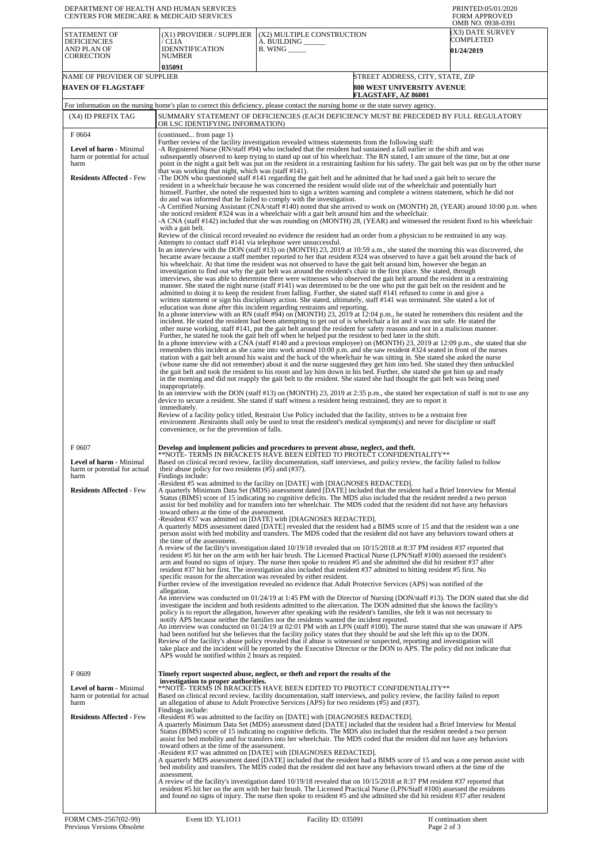| DEPARTMENT OF HEALTH AND HUMAN SERVICES<br>CENTERS FOR MEDICARE & MEDICAID SERVICES                                                                                                                                                      |                                                                                                                                                                                                                                                                                                                                                                                                                                                                                                                                                                                                                                                                                                                                                                                                                                                                                                                                                                                                                                                                                                                                                                                                                                                                                                                                                                                                                                                                                                                                                                                                                                                                                                                                                                                                                                                                                                                                                                                                                                                                                                                                                                                                                                                                                                                                                                                                                                                                                                                                                                                                                                                                                                                                                                                                                                                                                                                                                                                                                                                                                                                                                                                                                                                                                                                                                                                                                                                                                                                                                                                                                                                                                                                                                                                                                                                                                                                                                                                                                                                                                                                                                                                                                                                                                                                                                                                                                                                                                                                                                                                                                                                                                                                                                                                                                                                                                                                                                      | PRINTED:05/01/2020<br><b>FORM APPROVED</b><br>OMB NO. 0938-0391               |                                                    |  |  |
|------------------------------------------------------------------------------------------------------------------------------------------------------------------------------------------------------------------------------------------|------------------------------------------------------------------------------------------------------------------------------------------------------------------------------------------------------------------------------------------------------------------------------------------------------------------------------------------------------------------------------------------------------------------------------------------------------------------------------------------------------------------------------------------------------------------------------------------------------------------------------------------------------------------------------------------------------------------------------------------------------------------------------------------------------------------------------------------------------------------------------------------------------------------------------------------------------------------------------------------------------------------------------------------------------------------------------------------------------------------------------------------------------------------------------------------------------------------------------------------------------------------------------------------------------------------------------------------------------------------------------------------------------------------------------------------------------------------------------------------------------------------------------------------------------------------------------------------------------------------------------------------------------------------------------------------------------------------------------------------------------------------------------------------------------------------------------------------------------------------------------------------------------------------------------------------------------------------------------------------------------------------------------------------------------------------------------------------------------------------------------------------------------------------------------------------------------------------------------------------------------------------------------------------------------------------------------------------------------------------------------------------------------------------------------------------------------------------------------------------------------------------------------------------------------------------------------------------------------------------------------------------------------------------------------------------------------------------------------------------------------------------------------------------------------------------------------------------------------------------------------------------------------------------------------------------------------------------------------------------------------------------------------------------------------------------------------------------------------------------------------------------------------------------------------------------------------------------------------------------------------------------------------------------------------------------------------------------------------------------------------------------------------------------------------------------------------------------------------------------------------------------------------------------------------------------------------------------------------------------------------------------------------------------------------------------------------------------------------------------------------------------------------------------------------------------------------------------------------------------------------------------------------------------------------------------------------------------------------------------------------------------------------------------------------------------------------------------------------------------------------------------------------------------------------------------------------------------------------------------------------------------------------------------------------------------------------------------------------------------------------------------------------------------------------------------------------------------------------------------------------------------------------------------------------------------------------------------------------------------------------------------------------------------------------------------------------------------------------------------------------------------------------------------------------------------------------------------------------------------------------------------------------------------------------------------------------|-------------------------------------------------------------------------------|----------------------------------------------------|--|--|
| <b>STATEMENT OF</b><br><b>DEFICIENCIES</b><br>AND PLAN OF<br><b>CORRECTION</b>                                                                                                                                                           | (X1) PROVIDER / SUPPLIER<br>/ CLIA<br><b>IDENNTIFICATION</b><br><b>NUMBER</b><br>035091                                                                                                                                                                                                                                                                                                                                                                                                                                                                                                                                                                                                                                                                                                                                                                                                                                                                                                                                                                                                                                                                                                                                                                                                                                                                                                                                                                                                                                                                                                                                                                                                                                                                                                                                                                                                                                                                                                                                                                                                                                                                                                                                                                                                                                                                                                                                                                                                                                                                                                                                                                                                                                                                                                                                                                                                                                                                                                                                                                                                                                                                                                                                                                                                                                                                                                                                                                                                                                                                                                                                                                                                                                                                                                                                                                                                                                                                                                                                                                                                                                                                                                                                                                                                                                                                                                                                                                                                                                                                                                                                                                                                                                                                                                                                                                                                                                                              | (X2) MULTIPLE CONSTRUCTION<br>A. BUILDING ______<br>$B.$ WING $\_\_\_\_\_\_\$ | (X3) DATE SURVEY<br>COMPLETED<br><b>01/24/2019</b> |  |  |
| NAME OF PROVIDER OF SUPPLIER<br><b>HAVEN OF FLAGSTAFF</b>                                                                                                                                                                                |                                                                                                                                                                                                                                                                                                                                                                                                                                                                                                                                                                                                                                                                                                                                                                                                                                                                                                                                                                                                                                                                                                                                                                                                                                                                                                                                                                                                                                                                                                                                                                                                                                                                                                                                                                                                                                                                                                                                                                                                                                                                                                                                                                                                                                                                                                                                                                                                                                                                                                                                                                                                                                                                                                                                                                                                                                                                                                                                                                                                                                                                                                                                                                                                                                                                                                                                                                                                                                                                                                                                                                                                                                                                                                                                                                                                                                                                                                                                                                                                                                                                                                                                                                                                                                                                                                                                                                                                                                                                                                                                                                                                                                                                                                                                                                                                                                                                                                                                                      | STREET ADDRESS, CITY, STATE, ZIP<br>800 WEST UNIVERSITY AVENUE                |                                                    |  |  |
|                                                                                                                                                                                                                                          |                                                                                                                                                                                                                                                                                                                                                                                                                                                                                                                                                                                                                                                                                                                                                                                                                                                                                                                                                                                                                                                                                                                                                                                                                                                                                                                                                                                                                                                                                                                                                                                                                                                                                                                                                                                                                                                                                                                                                                                                                                                                                                                                                                                                                                                                                                                                                                                                                                                                                                                                                                                                                                                                                                                                                                                                                                                                                                                                                                                                                                                                                                                                                                                                                                                                                                                                                                                                                                                                                                                                                                                                                                                                                                                                                                                                                                                                                                                                                                                                                                                                                                                                                                                                                                                                                                                                                                                                                                                                                                                                                                                                                                                                                                                                                                                                                                                                                                                                                      | FLAGSTAFF, AZ 86001                                                           |                                                    |  |  |
| (X4) ID PREFIX TAG                                                                                                                                                                                                                       | For information on the nursing home's plan to correct this deficiency, please contact the nursing home or the state survey agency.<br>SUMMARY STATEMENT OF DEFICIENCIES (EACH DEFICIENCY MUST BE PRECEDED BY FULL REGULATORY<br>OR LSC IDENTIFYING INFORMATION)                                                                                                                                                                                                                                                                                                                                                                                                                                                                                                                                                                                                                                                                                                                                                                                                                                                                                                                                                                                                                                                                                                                                                                                                                                                                                                                                                                                                                                                                                                                                                                                                                                                                                                                                                                                                                                                                                                                                                                                                                                                                                                                                                                                                                                                                                                                                                                                                                                                                                                                                                                                                                                                                                                                                                                                                                                                                                                                                                                                                                                                                                                                                                                                                                                                                                                                                                                                                                                                                                                                                                                                                                                                                                                                                                                                                                                                                                                                                                                                                                                                                                                                                                                                                                                                                                                                                                                                                                                                                                                                                                                                                                                                                                      |                                                                               |                                                    |  |  |
| F0604<br><b>Level of harm - Minimal</b><br>harm or potential for actual<br>harm<br><b>Residents Affected - Few</b>                                                                                                                       | (continued from page 1)<br>Further review of the facility investigation revealed witness statements from the following staff:<br>-A Registered Nurse (RN/staff #94) who included that the resident had sustained a fall earlier in the shift and was<br>subsequently observed to keep trying to stand up out of his wheelchair. The RN stated, I am unsure of the time, but at one<br>point in the night a gait belt was put on the resident in a restraining fashion for his safety. The gait belt was put on by the other nurse<br>that was working that night, which was (staff #141).<br>The DON who questioned staff #141 regarding the gait belt and he admitted that he had used a gait belt to secure the<br>resident in a wheelchair because he was concerned the resident would slide out of the wheelchair and potentially hurt<br>himself. Further, she noted she requested him to sign a written warning and complete a witness statement, which he did not<br>do and was informed that he failed to comply with the investigation.<br>-A Certified Nursing Assistant (CNA/staff #140) noted that she arrived to work on (MONTH) 28, (YEAR) around 10:00 p.m. when<br>she noticed resident #324 was in a wheelchair with a gait belt around him and the wheelchair.<br>-A CNA (staff #142) included that she was rounding on (MONTH) 28, (YEAR) and witnessed the resident fixed to his wheelchair<br>with a gait belt.<br>Review of the clinical record revealed no evidence the resident had an order from a physician to be restrained in any way.<br>Attempts to contact staff #141 via telephone were unsuccessful.<br>In an interview with the DON (staff #13) on (MONTH) 23, 2019 at 10:59 a.m., she stated the morning this was discovered, she<br>became aware because a staff member reported to her that resident #324 was observed to have a gait belt around the back of<br>his wheelchair. At that time the resident was not observed to have the gait belt around him, however she began an<br>investigation to find out why the gait belt was around the resident's chair in the first place. She stated, through<br>interviews, she was able to determine there were witnesses who observed the gait belt around the resident in a restraining<br>manner. She stated the night nurse (staff #141) was determined to be the one who put the gait belt on the resident and he<br>admitted to doing it to keep the resident from falling. Further, she stated staff #141 refused to come in and give a<br>written statement or sign his disciplinary action. She stated, ultimately, staff #141 was terminated. She stated a lot of<br>education was done after this incident regarding restraints and reporting.<br>In a phone interview with an RN (staff #94) on $(MONTH)$ 23, 2019 at 12:04 p.m., he stated he remembers this resident and the<br>incident. He stated the resident had been attempting to get out of is wheelchair a lot and it was not safe. He stated the<br>other nurse working, staff #141, put the gait belt around the resident for safety reasons and not in a malicious manner.<br>Further, he stated he took the gait belt off when he helped put the resident to bed later in the shift.<br>In a phone interview with a CNA (staff #140 and a previous employee) on (MONTH) 23, 2019 at 12:09 p.m., she stated that she<br>remembers this incident as she came into work around 10:00 p.m. and she saw resident #324 seated in front of the nurses<br>station with a gait belt around his waist and the back of the wheelchair he was sitting in. She stated she asked the nurse<br>(whose name she did not remember) about it and the nurse suggested they get him into bed. She stated they then unbuckled<br>the gait belt and took the resident to his room and lay him down in his bed. Further, she stated she got him up and ready<br>in the morning and did not reapply the gait belt to the resident. She stated she had thought the gait belt was being used<br>inappropriately.<br>In an interview with the DON (staff #13) on (MONTH) 23, 2019 at 2:35 p.m., she stated her expectation of staff is not to use any<br>device to secure a resident. She stated if staff witness a resident being restrained, they are to report it                                                                                                                                                                                                                                                                                                                                                                                                                                                                                                                                                                                                                                               |                                                                               |                                                    |  |  |
| F0607<br><b>Level of harm - Minimal</b><br>harm or potential for actual<br>harm<br><b>Residents Affected - Few</b><br>F0609<br><b>Level of harm - Minimal</b><br>harm or potential for actual<br>harm<br><b>Residents Affected - Few</b> | environment. Restraints shall only be used to treat the resident's medical symptom(s) and never for discipline or staff<br>convenience, or for the prevention of falls.<br>Develop and implement policies and procedures to prevent abuse, neglect, and theft.<br>**NOTE- TERMS IN BRACKETS HAVE BEEN EDITED TO PROTECT CONFIDENTIALITY**<br>Based on clinical record review, facility documentation, staff interviews, and policy review, the facility failed to follow<br>their abuse policy for two residents $(\#5)$ and $(\#37)$ .<br>Findings include:<br>-Resident #5 was admitted to the facility on [DATE] with [DIAGNOSES REDACTED].<br>A quarterly Minimum Data Set (MDS) assessment dated [DATE] included that the resident had a Brief Interview for Mental<br>Status (BIMS) score of 15 indicating no cognitive deficits. The MDS also included that the resident needed a two person<br>assist for bed mobility and for transfers into her wheelchair. The MDS coded that the resident did not have any behaviors<br>toward others at the time of the assessment.<br>-Resident #37 was admitted on [DATE] with [DIAGNOSES REDACTED].<br>A quarterly MDS assessment dated [DATE] revealed that the resident had a BIMS score of 15 and that the resident was a one<br>person assist with bed mobility and transfers. The MDS coded that the resident did not have any behaviors toward others at<br>the time of the assessment.<br>A review of the facility's investigation dated 10/19/18 revealed that on 10/15/2018 at 8:37 PM resident #37 reported that<br>resident #5 hit her on the arm with her hair brush. The Licensed Practical Nurse (LPN/Staff #100) assessed the resident's<br>arm and found no signs of injury. The nurse then spoke to resident #5 and she admitted she did hit resident #37 after<br>resident #37 hit her first. The investigation also included that resident #37 admitted to hitting resident #5 first. No<br>specific reason for the altercation was revealed by either resident.<br>Further review of the investigation revealed no evidence that Adult Protective Services (APS) was notified of the<br>allegation.<br>An interview was conducted on 01/24/19 at 1:45 PM with the Director of Nursing (DON/staff #13). The DON stated that she did<br>investigate the incident and both residents admitted to the altercation. The DON admitted that she knows the facility's<br>policy is to report the allegation, however after speaking with the resident's families, she felt it was not necessary to<br>notify APS because neither the families nor the residents wanted the incident reported.<br>An interview was conducted on 01/24/19 at 02:01 PM with an LPN (staff #100). The nurse stated that she was unaware if APS<br>had been notified but she believes that the facility policy states that they should be and she left this up to the DON.<br>Review of the facility's abuse policy revealed that if abuse is witnessed or suspected, reporting and investigation will<br>take place and the incident will be reported by the Executive Director or the DON to APS. The policy did not indicate that<br>APS would be notified within 2 hours as requied.<br>Timely report suspected abuse, neglect, or theft and report the results of the<br>investigation to proper authorities.<br>**NOTE- TERMS IN BRACKETS HAVE BEEN EDITED TO PROTECT CONFIDENTIALITY**<br>Based on clinical record review, facility documentation, staff interviews, and policy review, the facility failed to report<br>an allegation of abuse to Adult Protective Services (APS) for two residents $(\#5)$ and $(\#37)$ .<br>Findings include:<br>-Resident #5 was admitted to the facility on [DATE] with [DIAGNOSES REDACTED].<br>A quarterly Minimum Data Set (MDS) assessment dated [DATE] included that the resident had a Brief Interview for Mental<br>Status (BIMS) score of 15 indicating no cognitive deficits. The MDS also included that the resident needed a two person<br>assist for bed mobility and for transfers into her wheelchair. The MDS coded that the resident did not have any behaviors<br>toward others at the time of the assessment.<br>-Resident #37 was admitted on [DATE] with [DIAGNOSES REDACTED].<br>A quarterly MDS assessment dated [DATE] included that the resident had a BIMS score of 15 and was a one person assist with<br>bed mobility and transfers. The MDS coded that the resident did not have any behaviors toward others at the time of the<br>assessment.<br>A review of the facility's investigation dated 10/19/18 revealed that on 10/15/2018 at 8:37 PM resident #37 reported that<br>resident #5 hit her on the arm with her hair brush. The Licensed Practical Nurse (LPN/Staff #100) assessed the residents<br>and found no signs of injury. The nurse then spoke to resident #5 and she admitted she did hit resident #37 after resident |                                                                               |                                                    |  |  |
| FORM CMS-2567(02-99)                                                                                                                                                                                                                     | Event ID: YL1011                                                                                                                                                                                                                                                                                                                                                                                                                                                                                                                                                                                                                                                                                                                                                                                                                                                                                                                                                                                                                                                                                                                                                                                                                                                                                                                                                                                                                                                                                                                                                                                                                                                                                                                                                                                                                                                                                                                                                                                                                                                                                                                                                                                                                                                                                                                                                                                                                                                                                                                                                                                                                                                                                                                                                                                                                                                                                                                                                                                                                                                                                                                                                                                                                                                                                                                                                                                                                                                                                                                                                                                                                                                                                                                                                                                                                                                                                                                                                                                                                                                                                                                                                                                                                                                                                                                                                                                                                                                                                                                                                                                                                                                                                                                                                                                                                                                                                                                                     | Facility ID: 035091                                                           | If continuation sheet                              |  |  |